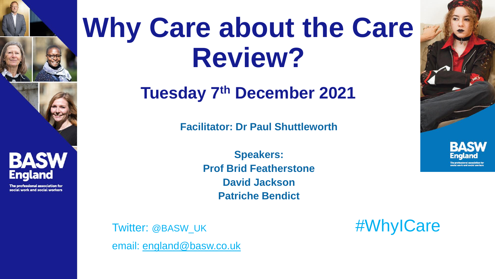



**BASW England** 

ofessional association for social work and social workers

## **Why Care about the Care Review?**

**Tuesday 7th December 2021**

**Facilitator: Dr Paul Shuttleworth**

**Speakers: Prof Brid Featherstone David Jackson Patriche Bendict**



Twitter: @BASW\_UK #WhyICare email: [england@basw.co.uk](mailto:england@basw.co.uk)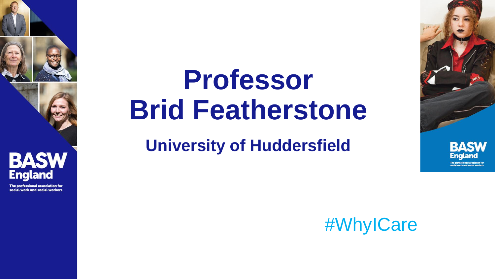

#### **BASW England**

The professional association for social work and social workers

## **Professor Brid Featherstone**

### **University of Huddersfield**



#WhylCare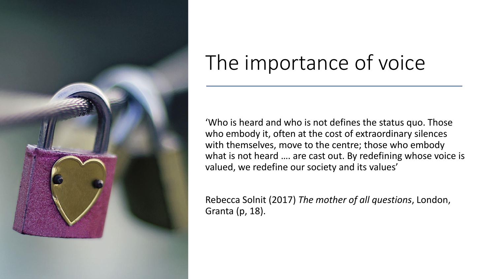

## The importance of voice

'Who is heard and who is not defines the status quo. Those who embody it, often at the cost of extraordinary silences with themselves, move to the centre; those who embody what is not heard .... are cast out. By redefining whose voice is valued, we redefine our society and its values'

Rebecca Solnit (2017) *The mother of all questions*, London, Granta (p, 18).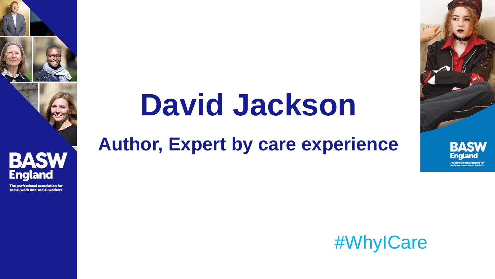

#### **BASW England**

The professional association for social work and social workers

# David Jackson

### **Author, Expert by care experience**



England

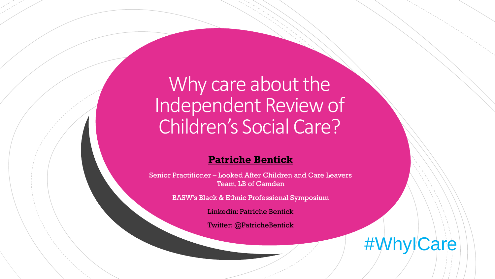Why care about the Independent Review of Children's Social Care?

#### **Patriche Bentick**

Senior Practitioner – Looked After Children and Care Leavers Team, LB of Camden

BASW's Black & Ethnic Professional Symposium

Linkedin: Patriche Bentick

Twitter: @PatricheBentick

#WhylCare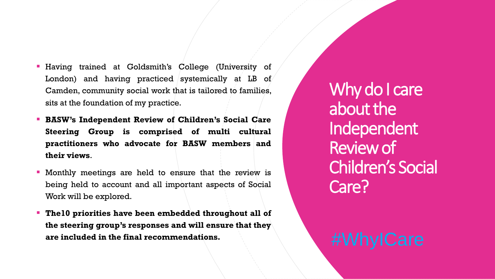- Having trained at Goldsmith's College (University of London) and having practiced systemically at LB of Camden, community social work that is tailored to families, sits at the foundation of my practice.
- **BASW's Independent Review of Children's Social Care Steering Group is comprised of multi cultural practitioners who advocate for BASW members and their views**.
- Monthly meetings are held to ensure that the review is being held to account and all important aspects of Social Work will be explored.
- **The10 priorities have been embedded throughout all of the steering group's responses and will ensure that they are included in the final recommendations.** #WhyICare

Why do I care about the Independent Review of Children's Social Care?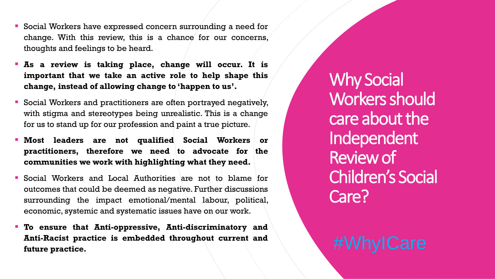- Social Workers have expressed concern surrounding a need for change. With this review, this is a chance for our concerns, thoughts and feelings to be heard.
- **As a review is taking place, change will occur. It is important that we take an active role to help shape this change, instead of allowing change to 'happen to us'.**
- Social Workers and practitioners are often portrayed negatively, with stigma and stereotypes being unrealistic. This is a change for us to stand up for our profession and paint a true picture.
- **Most leaders are not qualified Social Workers or practitioners, therefore we need to advocate for the communities we work with highlighting what they need.**
- Social Workers and Local Authorities are not to blame for outcomes that could be deemed as negative. Further discussions surrounding the impact emotional/mental labour, political, economic, systemic and systematic issues have on our work.
- **To ensure that Anti-oppressive, Anti-discriminatory and Anti-Racist practice is embedded throughout current and future practice.** #WhyICare

Why Social Workers should care about the Independent Review of Children's Social Care?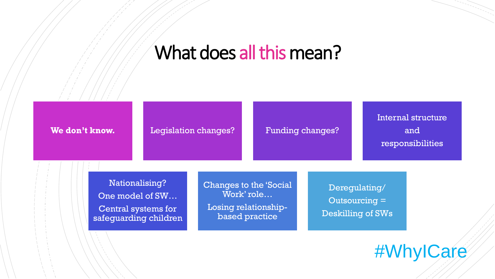#### What does all this mean?



#WhyICare